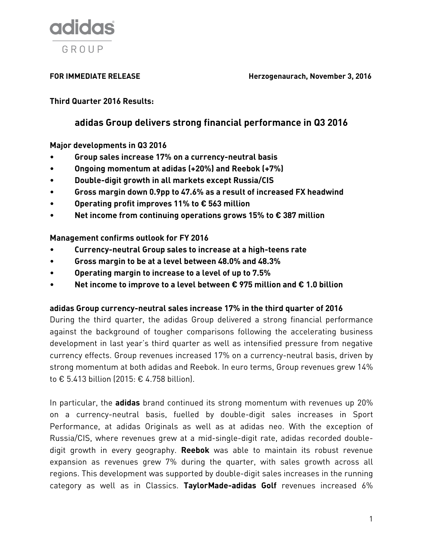

**FOR IMMEDIATE RELEASE Herzogenaurach, November 3, 2016**

**Third Quarter 2016 Results:**

# **adidas Group delivers strong financial performance in Q3 2016**

**Major developments in Q3 2016**

- **Group sales increase 17% on a currency-neutral basis**
- **Ongoing momentum at adidas (+20%) and Reebok (+7%)**
- **Double-digit growth in all markets except Russia/CIS**
- **Gross margin down 0.9pp to 47.6% as a result of increased FX headwind**
- **Operating profit improves 11% to € 563 million**
- **Net income from continuing operations grows 15% to € 387 million**

## **Management confirms outlook for FY 2016**

- **Currency-neutral Group sales to increase at a high-teens rate**
- **Gross margin to be at a level between 48.0% and 48.3%**
- **Operating margin to increase to a level of up to 7.5%**
- **Net income to improve to a level between € 975 million and € 1.0 billion**

### **adidas Group currency-neutral sales increase 17% in the third quarter of 2016**

During the third quarter, the adidas Group delivered a strong financial performance against the background of tougher comparisons following the accelerating business development in last year's third quarter as well as intensified pressure from negative currency effects. Group revenues increased 17% on a currency-neutral basis, driven by strong momentum at both adidas and Reebok. In euro terms, Group revenues grew 14% to € 5.413 billion (2015: € 4.758 billion).

In particular, the **adidas** brand continued its strong momentum with revenues up 20% on a currency-neutral basis, fuelled by double-digit sales increases in Sport Performance, at adidas Originals as well as at adidas neo. With the exception of Russia/CIS, where revenues grew at a mid-single-digit rate, adidas recorded doubledigit growth in every geography. **Reebok** was able to maintain its robust revenue expansion as revenues grew 7% during the quarter, with sales growth across all regions. This development was supported by double-digit sales increases in the running category as well as in Classics. **TaylorMade-adidas Golf** revenues increased 6%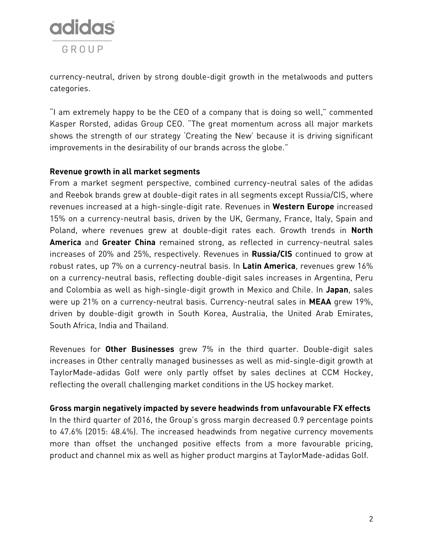

currency-neutral, driven by strong double-digit growth in the metalwoods and putters categories.

"I am extremely happy to be the CEO of a company that is doing so well," commented Kasper Rorsted, adidas Group CEO. "The great momentum across all major markets shows the strength of our strategy 'Creating the New' because it is driving significant improvements in the desirability of our brands across the globe."

### **Revenue growth in all market segments**

From a market segment perspective, combined currency-neutral sales of the adidas and Reebok brands grew at double-digit rates in all segments except Russia/CIS, where revenues increased at a high-single-digit rate. Revenues in **Western Europe** increased 15% on a currency-neutral basis, driven by the UK, Germany, France, Italy, Spain and Poland, where revenues grew at double-digit rates each. Growth trends in **North America** and **Greater China** remained strong, as reflected in currency-neutral sales increases of 20% and 25%, respectively. Revenues in **Russia/CIS** continued to grow at robust rates, up 7% on a currency-neutral basis. In **Latin America**, revenues grew 16% on a currency-neutral basis, reflecting double-digit sales increases in Argentina, Peru and Colombia as well as high-single-digit growth in Mexico and Chile. In **Japan**, sales were up 21% on a currency-neutral basis. Currency-neutral sales in **MEAA** grew 19%, driven by double-digit growth in South Korea, Australia, the United Arab Emirates, South Africa, India and Thailand.

Revenues for **Other Businesses** grew 7% in the third quarter. Double-digit sales increases in Other centrally managed businesses as well as mid-single-digit growth at TaylorMade-adidas Golf were only partly offset by sales declines at CCM Hockey, reflecting the overall challenging market conditions in the US hockey market.

**Gross margin negatively impacted by severe headwinds from unfavourable FX effects**  In the third quarter of 2016, the Group's gross margin decreased 0.9 percentage points to 47.6% (2015: 48.4%). The increased headwinds from negative currency movements more than offset the unchanged positive effects from a more favourable pricing, product and channel mix as well as higher product margins at TaylorMade-adidas Golf.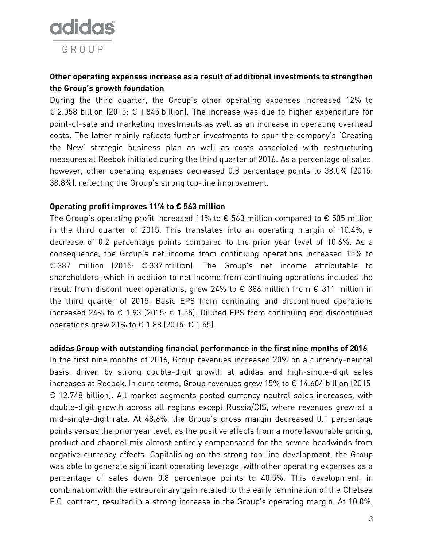

# **Other operating expenses increase as a result of additional investments to strengthen the Group's growth foundation**

During the third quarter, the Group's other operating expenses increased 12% to € 2.058 billion (2015: € 1.845 billion). The increase was due to higher expenditure for point-of-sale and marketing investments as well as an increase in operating overhead costs. The latter mainly reflects further investments to spur the company's 'Creating the New' strategic business plan as well as costs associated with restructuring measures at Reebok initiated during the third quarter of 2016. As a percentage of sales, however, other operating expenses decreased 0.8 percentage points to 38.0% (2015: 38.8%), reflecting the Group's strong top-line improvement.

### **Operating profit improves 11% to € 563 million**

The Group's operating profit increased 11% to  $\epsilon$  563 million compared to  $\epsilon$  505 million in the third quarter of 2015. This translates into an operating margin of 10.4%, a decrease of 0.2 percentage points compared to the prior year level of 10.6%. As a consequence, the Group's net income from continuing operations increased 15% to € 387 million (2015: € 337 million). The Group's net income attributable to shareholders, which in addition to net income from continuing operations includes the result from discontinued operations, grew 24% to € 386 million from € 311 million in the third quarter of 2015. Basic EPS from continuing and discontinued operations increased 24% to € 1.93 (2015: € 1.55). Diluted EPS from continuing and discontinued operations grew 21% to € 1.88 (2015: € 1.55).

### **adidas Group with outstanding financial performance in the first nine months of 2016**

In the first nine months of 2016, Group revenues increased 20% on a currency-neutral basis, driven by strong double-digit growth at adidas and high-single-digit sales increases at Reebok. In euro terms, Group revenues grew 15% to € 14.604 billion (2015: € 12.748 billion). All market segments posted currency-neutral sales increases, with double-digit growth across all regions except Russia/CIS, where revenues grew at a mid-single-digit rate. At 48.6%, the Group's gross margin decreased 0.1 percentage points versus the prior year level, as the positive effects from a more favourable pricing, product and channel mix almost entirely compensated for the severe headwinds from negative currency effects. Capitalising on the strong top-line development, the Group was able to generate significant operating leverage, with other operating expenses as a percentage of sales down 0.8 percentage points to 40.5%. This development, in combination with the extraordinary gain related to the early termination of the Chelsea F.C. contract, resulted in a strong increase in the Group's operating margin. At 10.0%,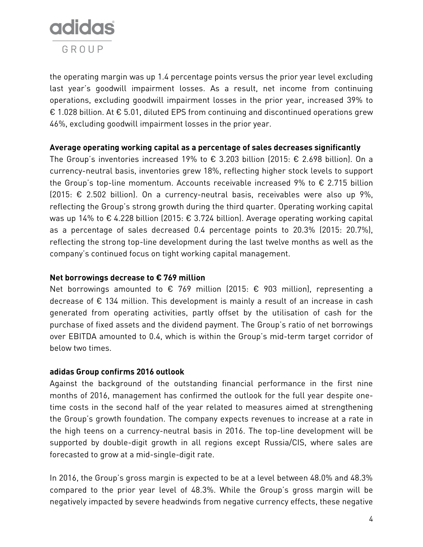

the operating margin was up 1.4 percentage points versus the prior year level excluding last year's goodwill impairment losses. As a result, net income from continuing operations, excluding goodwill impairment losses in the prior year, increased 39% to € 1.028 billion. At € 5.01, diluted EPS from continuing and discontinued operations grew 46%, excluding goodwill impairment losses in the prior year.

### **Average operating working capital as a percentage of sales decreases significantly**

The Group's inventories increased 19% to  $\epsilon$  3.203 billion (2015:  $\epsilon$  2.698 billion). On a currency-neutral basis, inventories grew 18%, reflecting higher stock levels to support the Group's top-line momentum. Accounts receivable increased 9% to € 2.715 billion  $(2015: \epsilon$  2.502 billion). On a currency-neutral basis, receivables were also up 9%, reflecting the Group's strong growth during the third quarter. Operating working capital was up 14% to  $\epsilon$  4.228 billion (2015:  $\epsilon$  3.724 billion). Average operating working capital as a percentage of sales decreased 0.4 percentage points to 20.3% (2015: 20.7%), reflecting the strong top-line development during the last twelve months as well as the company's continued focus on tight working capital management.

## **Net borrowings decrease to € 769 million**

Net borrowings amounted to  $\epsilon$  769 million (2015:  $\epsilon$  903 million), representing a decrease of € 134 million. This development is mainly a result of an increase in cash generated from operating activities, partly offset by the utilisation of cash for the purchase of fixed assets and the dividend payment. The Group's ratio of net borrowings over EBITDA amounted to 0.4, which is within the Group's mid-term target corridor of below two times.

## **adidas Group confirms 2016 outlook**

Against the background of the outstanding financial performance in the first nine months of 2016, management has confirmed the outlook for the full year despite onetime costs in the second half of the year related to measures aimed at strengthening the Group's growth foundation. The company expects revenues to increase at a rate in the high teens on a currency-neutral basis in 2016. The top-line development will be supported by double-digit growth in all regions except Russia/CIS, where sales are forecasted to grow at a mid-single-digit rate.

In 2016, the Group's gross margin is expected to be at a level between 48.0% and 48.3% compared to the prior year level of 48.3%. While the Group's gross margin will be negatively impacted by severe headwinds from negative currency effects, these negative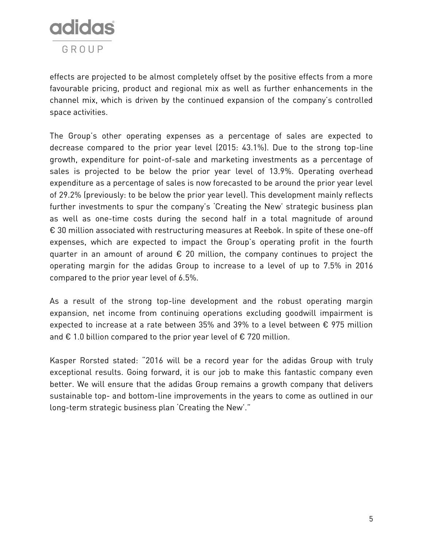

effects are projected to be almost completely offset by the positive effects from a more favourable pricing, product and regional mix as well as further enhancements in the channel mix, which is driven by the continued expansion of the company's controlled space activities.

The Group's other operating expenses as a percentage of sales are expected to decrease compared to the prior year level (2015: 43.1%). Due to the strong top-line growth, expenditure for point-of-sale and marketing investments as a percentage of sales is projected to be below the prior year level of 13.9%. Operating overhead expenditure as a percentage of sales is now forecasted to be around the prior year level of 29.2% (previously: to be below the prior year level). This development mainly reflects further investments to spur the company's 'Creating the New' strategic business plan as well as one-time costs during the second half in a total magnitude of around € 30 million associated with restructuring measures at Reebok. In spite of these one-off expenses, which are expected to impact the Group's operating profit in the fourth quarter in an amount of around  $\epsilon$  20 million, the company continues to project the operating margin for the adidas Group to increase to a level of up to 7.5% in 2016 compared to the prior year level of 6.5%.

As a result of the strong top-line development and the robust operating margin expansion, net income from continuing operations excluding goodwill impairment is expected to increase at a rate between 35% and 39% to a level between € 975 million and  $\epsilon$  1.0 billion compared to the prior year level of  $\epsilon$  720 million.

Kasper Rorsted stated: "2016 will be a record year for the adidas Group with truly exceptional results. Going forward, it is our job to make this fantastic company even better. We will ensure that the adidas Group remains a growth company that delivers sustainable top- and bottom-line improvements in the years to come as outlined in our long-term strategic business plan 'Creating the New'."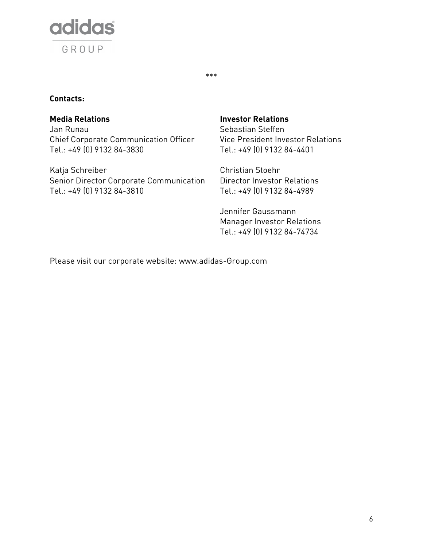

## **Contacts:**

Jan Runau Chief Corporate Communication Officer Tel.: +49 (0) 9132 84-3830

Katja Schreiber Christian Stoehr Senior Director Corporate Communication Tel.: +49 (0) 9132 84-3810

## **Media Relations Investor Relations**

\*\*\*

Sebastian Steffen Vice President Investor Relations Tel.: +49 (0) 9132 84-4401

Director Investor Relations Tel.: +49 (0) 9132 84-4989

Jennifer Gaussmann Manager Investor Relations Tel.: +49 (0) 9132 84-74734

Please visit our corporate website: [www.adidas-Group.com](http://www.adidas-group.com/)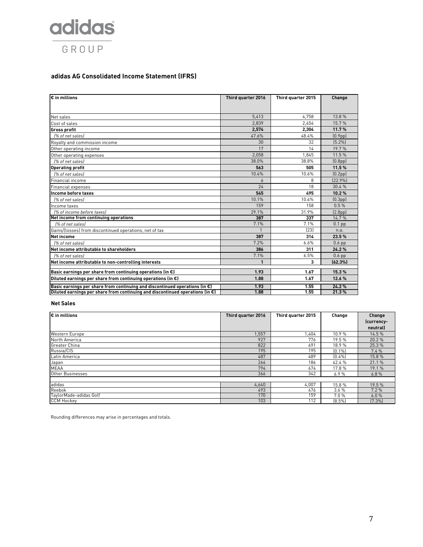

#### **adidas AG Consolidated Income Statement (IFRS)**

| $\bm{\varepsilon}$ in millions                                                          | Third quarter 2016 | Third quarter 2015 | Change               |
|-----------------------------------------------------------------------------------------|--------------------|--------------------|----------------------|
|                                                                                         |                    |                    |                      |
| Net sales                                                                               | 5,413              | 4.758              | 13.8 %               |
| Cost of sales                                                                           | 2.839              | 2.454              | 15.7%                |
| <b>Gross profit</b>                                                                     | 2,574              | 2,304              | 11.7%                |
| 1% of net sales)                                                                        | 47.6%              | 48.4%              | (0.9 <sub>pp</sub> ) |
| Royalty and commission income                                                           | 30                 | 32                 | [5.2%]               |
| Other operating income                                                                  | 17                 | 14                 | 19.7%                |
| Other operating expenses                                                                | 2,058              | 1.845              | 11.5 %               |
| [% of net sales]                                                                        | 38.0%              | 38.8%              | (0.8 <sub>pp</sub> ) |
| <b>Operating profit</b>                                                                 | 563                | 505                | 11.5%                |
| [% of net sales]                                                                        | 10.4%              | 10.6%              | (0.2 <sub>pp</sub> ) |
| Financial income                                                                        | 6                  | 8                  | [22.9%]              |
| Financial expenses                                                                      | 24                 | 18                 | 30.4%                |
| Income before taxes                                                                     | 545                | 495                | 10.2%                |
| [% of net sales]                                                                        | 10.1%              | 10.4%              | (0.3 <sub>pp</sub> ) |
| Income taxes                                                                            | 159                | 158                | 0.5%                 |
| [% of income before taxes]                                                              | 29.1%              | 31.9%              | (2.8 <sub>pp</sub> ) |
| Net income from continuing operations                                                   | 387                | 337                | 14.7%                |
| [% of net sales]                                                                        | 7.1%               | 7.1%               | $0.1$ pp             |
| Gains/(losses) from discontinued operations, net of tax                                 | $\mathbf{1}$       | [23]               | n.a.                 |
| Net income                                                                              | 387                | 314                | 23.5%                |
| [% of net sales]                                                                        | 7.2%               | 6.6%               | $0.6$ pp             |
| Net income attributable to shareholders                                                 | 386                | 311                | 24.2%                |
| [% of net sales]                                                                        | 7.1%               | 6.5%               | $0.6$ pp             |
| Net income attributable to non-controlling interests                                    | 1                  | 3                  | (62.3%)              |
| Basic earnings per share from continuing operations (in $\epsilon$ )                    | 1.93               | 1.67               | 15.3%                |
| Diluted earnings per share from continuing operations (in $\epsilon$ )                  | 1.88               | 1.67               | 12.6%                |
| Basic earnings per share from continuing and discontinued operations (in $\epsilon$ )   | 1.93               | 1.55               | 24.2%                |
| Diluted earnings per share from continuing and discontinued operations (in $\epsilon$ ) | 1.88               | 1.55               | 21.3%                |

#### **Net Sales**

| $\varepsilon$ in millions | Third quarter 2016 | Third quarter 2015 | Change    | Change     |
|---------------------------|--------------------|--------------------|-----------|------------|
|                           |                    |                    |           | (currency- |
|                           |                    |                    |           | neutral)   |
| Western Europe            | 1.557              | .404               | 10.9%     | 14.5%      |
| North America             | 927                | 776                | 19.5 %    | 20.2 %     |
| Greater China             | 822                | 691                | 18.9%     | 25.3 %     |
| Russia/CIS                | 195                | 195                | [0.1%]    | 7.4%       |
| Latin America             | 487                | 489                | $(0.4\%)$ | 15.8%      |
| Japan                     | 264                | 186                | 42.4 %    | 21.1 %     |
| <b>MEAA</b>               | 794                | 674                | 17.8 %    | 19.1 %     |
| Other Businesses          | 366                | 342                | 6.9%      | 6.8%       |
|                           |                    |                    |           |            |
| adidas                    | 4,640              | 4,007              | 15.8%     | 19.5%      |
| Reebok                    | 493                | 476                | 3.6%      | 7.2%       |
| TaylorMade-adidas Golf    | 170                | 159                | 7.0%      | 6.0%       |
| <b>CCM Hockey</b>         | 103                | 112                | $(8.5\%)$ | [7.3%]     |

Rounding differences may arise in percentages and totals.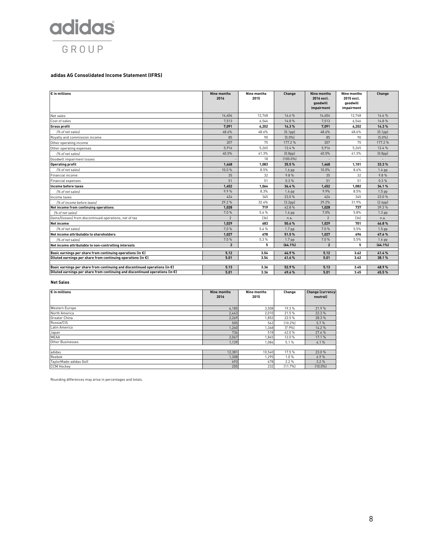

#### **adidas AG Consolidated Income Statement (IFRS)**

| € in millions                                                                         | Nine months<br>2016 | Nine months<br>2015 | Change               | Nine months<br>2016 excl.<br>goodwill<br>impairment | <b>Nine months</b><br>2015 excl.<br>aoodwill<br>impairment | Change               |
|---------------------------------------------------------------------------------------|---------------------|---------------------|----------------------|-----------------------------------------------------|------------------------------------------------------------|----------------------|
| Net sales                                                                             | 14.604              | 12,748              | 14.6%                | 14,604                                              | 12,748                                                     | 14.6%                |
| Cost of sales                                                                         | 7.513               | 6.546               | 14.8%                | 7.513                                               | 6,546                                                      | 14.8%                |
| <b>Gross profit</b>                                                                   | 7.091               | 6,202               | 14.3%                | 7.091                                               | 6,202                                                      | 14.3%                |
| (% of net sales)                                                                      | 48.6%               | 48.6%               | [0.1 <sub>pp</sub> ] | 48.6%                                               | 48.6%                                                      | [0.1 <sub>pp</sub> ] |
| Rovalty and commission income                                                         | 85                  | 90                  | [5.0%]               | 85                                                  | 90                                                         | [5.0%]               |
| Other operating income                                                                | 207                 | 75                  | 177.2%               | 207                                                 | 75                                                         | 177.2%               |
| Other operating expenses                                                              | 5.916               | 5.265               | 12.4 %               | 5,916                                               | 5,265                                                      | 12.4 %               |
| [% of net sales]                                                                      | 40.5%               | 41.3%               | [0.8 <sub>pp</sub> ] | 40.5%                                               | 41.3%                                                      | [0.8 <sub>pp</sub> ] |
| Goodwill impairment losses                                                            |                     | 18                  | $(100.0\%)$          |                                                     |                                                            |                      |
| <b>Operating profit</b>                                                               | 1,468               | 1,083               | 35.5%                | 1,468                                               | 1,101                                                      | 33.3%                |
| [% of net sales]                                                                      | 10.0%               | 8.5%                | 1.6 <sub>pp</sub>    | 10.0%                                               | 8.6%                                                       | $1.4$ pp             |
| Financial income                                                                      | 35                  | 32                  | 9.8%                 | 35                                                  | 32                                                         | 9.8%                 |
| <b>Financial expenses</b>                                                             | 51                  | 51                  | 0.3%                 | 51                                                  | 51                                                         | 0.3%                 |
| Income before taxes                                                                   | 1,452               | 1,064               | 36.4%                | 1,452                                               | 1,082                                                      | 34.1%                |
| 1% of net sales)                                                                      | 9.9%                | 8.3%                | $1.6$ pp             | 9.9%                                                | 8.5%                                                       | $1.5$ pp             |
| Income taxes                                                                          | 424                 | 345                 | 23.0%                | 424                                                 | 345                                                        | 23.0%                |
| [% of income before taxes]                                                            | 29.2%               | 32.4%               | [3.2pp]              | 29.2%                                               | 31.9%                                                      | [2.6pp]              |
| Net income from continuing operations                                                 | 1.028               | 719                 | 42.8%                | 1,028                                               | 737                                                        | 39.3%                |
| [% of net sales]                                                                      | 7.0%                | 5.6%                | 1.4 pp               | 7.0%                                                | 5.8%                                                       | $1.3$ pp             |
| Gains/(losses) from discontinued operations, net of tax                               | $\mathfrak{p}$      | [36]                | n.a.                 | $\mathcal{P}$                                       | (36)                                                       | n.a.                 |
| <b>Net income</b>                                                                     | 1.029               | 683                 | 50.6%                | 1,029                                               | 701                                                        | 46.8%                |
| [% of net sales]                                                                      | 7.0%                | 5.4%                | 1.7 <sub>pp</sub>    | 7.0%                                                | 5.5%                                                       | $1.5$ pp             |
| Net income attributable to shareholders                                               | 1,027               | 678                 | 51.5%                | 1,027                                               | 696                                                        | 47.6%                |
| (% of net sales)                                                                      | 7.0%                | 5.3%                | 1.7 <sub>pp</sub>    | 7.0%                                                | 5.5%                                                       | $1.6$ pp             |
| Net income attributable to non-controlling interests                                  | $\overline{2}$      | 5                   | $(64.1\%)$           | $\overline{2}$                                      | 5                                                          | $(64.1\%)$           |
| Basic earnings per share from continuing operations (in $\epsilon$ )                  | 5.12                | 3.54                | 44.9%                | 5.12                                                | 3.62                                                       | 41.4%                |
| Diluted earnings per share from continuing operations (in $\epsilon$ )                | 5.01                | 3.54                | 41.6%                | 5.01                                                | 3.62                                                       | 38.1%                |
| Basic earnings per share from continuing and discontinued operations (in $\epsilon$ ) | 5.13                | 3.36                | 52.9%                | 5.13                                                | 3.45                                                       | 48.9%                |
| Diluted earnings per share from continuing and discontinued operations (in €)         | 5.01                | 3.36                | 49.4%                | 5.01                                                | 3.45                                                       | 45.5%                |

#### **Net Sales**

| $\varepsilon$ in millions | <b>Nine months</b> | Nine months | Change  | <b>Change (currency-</b> |
|---------------------------|--------------------|-------------|---------|--------------------------|
|                           | 2016               | 2015        |         | neutral)                 |
| Western Europe            | 4,185              | 3,508       | 19.3%   | 21.9%                    |
| North America             | 2,443              | 2,010       | 21.5 %  | 22.3%                    |
| Greater China             | 2,269              | 1,852       | 22.5 %  | 28.3%                    |
| Russia/CIS                | 505                | 562         | [10.2%] | 5.7%                     |
| Latin America             | 1,260              | 1,368       | (7.9%   | 14.2%                    |
| Japan                     | 736                | 518         | 42.0%   | 27.6%                    |
| MEAA                      | 2,067              | 1,845       | 12.0%   | 17.1%                    |
| Other Businesses          | 1,139              | 1,084       | 5.1%    | 6.1%                     |
|                           |                    |             |         |                          |
| adidas                    | 12,381             | 10,540      | 17.5 %  | 23.0%                    |
| Reebok                    | 1,308              | 1,295       | 1.0%    | 6.9%                     |
| TaylorMade-adidas Golf    | 693                | 678         | 2.2%    | 3.2%                     |
| <b>CCM Hockey</b>         | 205                | 232         | (11.7%  | $[10.0\%]$               |

Rounding differences may arise in percentages and totals.